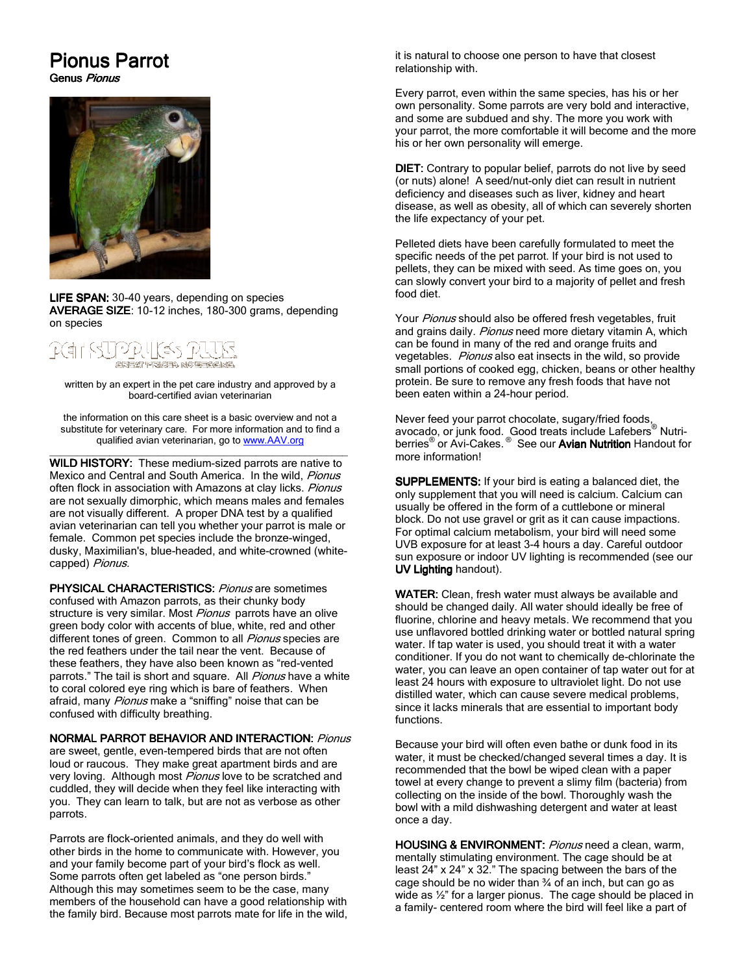# **Pionus Parrot**

Genus Pionus



LIFE SPAN: 30-40 years, depending on species AVERAGE SIZE: 10-12 inches, 180-300 grams, depending on species

# **SREAT FRIGHT NO EFFECTIVE.**

written by an expert in the pet care industry and approved by a board-certified avian veterinarian

the information on this care sheet is a basic overview and not a substitute for veterinary care. For more information and to find a qualified avian veterinarian, go to www.AAV.org

\_\_\_\_\_\_\_\_\_\_\_\_\_\_\_\_\_\_\_\_\_\_\_\_\_\_\_\_\_\_\_\_\_\_\_\_\_\_\_\_\_\_\_\_\_\_\_\_\_\_\_\_\_\_\_ WILD HISTORY: These medium-sized parrots are native to Mexico and Central and South America. In the wild, Pionus often flock in association with Amazons at clay licks. Pionus are not sexually dimorphic, which means males and females are not visually different. A proper DNA test by a qualified avian veterinarian can tell you whether your parrot is male or female. Common pet species include the bronze-winged, dusky, Maximilian's, blue-headed, and white-crowned (whitecapped) Pionus.

PHYSICAL CHARACTERISTICS: Pionus are sometimes confused with Amazon parrots, as their chunky body structure is very similar. Most Pionus parrots have an olive green body color with accents of blue, white, red and other different tones of green. Common to all *Pionus* species are the red feathers under the tail near the vent. Because of these feathers, they have also been known as "red-vented parrots." The tail is short and square. All Pionus have a white to coral colored eye ring which is bare of feathers. When afraid, many Pionus make a "sniffing" noise that can be confused with difficulty breathing.

## NORMAL PARROT BEHAVIOR AND INTERACTION: Pionus

are sweet, gentle, even-tempered birds that are not often loud or raucous. They make great apartment birds and are very loving. Although most Pionus love to be scratched and cuddled, they will decide when they feel like interacting with you. They can learn to talk, but are not as verbose as other parrots.

Parrots are flock-oriented animals, and they do well with other birds in the home to communicate with. However, you and your family become part of your bird's flock as well. Some parrots often get labeled as "one person birds." Although this may sometimes seem to be the case, many members of the household can have a good relationship with the family bird. Because most parrots mate for life in the wild, it is natural to choose one person to have that closest relationship with.

Every parrot, even within the same species, has his or her own personality. Some parrots are very bold and interactive, and some are subdued and shy. The more you work with your parrot, the more comfortable it will become and the more his or her own personality will emerge.

DIET: Contrary to popular belief, parrots do not live by seed (or nuts) alone! A seed/nut-only diet can result in nutrient deficiency and diseases such as liver, kidney and heart disease, as well as obesity, all of which can severely shorten the life expectancy of your pet.

Pelleted diets have been carefully formulated to meet the specific needs of the pet parrot. If your bird is not used to pellets, they can be mixed with seed. As time goes on, you can slowly convert your bird to a majority of pellet and fresh food diet.

Your Pionus should also be offered fresh vegetables, fruit and grains daily. Pionus need more dietary vitamin A, which can be found in many of the red and orange fruits and vegetables. Pionus also eat insects in the wild, so provide small portions of cooked egg, chicken, beans or other healthy protein. Be sure to remove any fresh foods that have not been eaten within a 24-hour period.

Never feed your parrot chocolate, sugary/fried foods, avocado, or junk food. Good treats include Lafebers® Nutriberries<sup>®</sup> or Avi-Cakes.<sup>®</sup> See our Avian Nutrition Handout for more information!

SUPPLEMENTS: If your bird is eating a balanced diet, the only supplement that you will need is calcium. Calcium can usually be offered in the form of a cuttlebone or mineral block. Do not use gravel or grit as it can cause impactions. For optimal calcium metabolism, your bird will need some UVB exposure for at least 3-4 hours a day. Careful outdoor sun exposure or indoor UV lighting is recommended (see our UV Lighting handout).

WATER: Clean, fresh water must always be available and should be changed daily. All water should ideally be free of fluorine, chlorine and heavy metals. We recommend that you use unflavored bottled drinking water or bottled natural spring water. If tap water is used, you should treat it with a water conditioner. If you do not want to chemically de-chlorinate the water, you can leave an open container of tap water out for at least 24 hours with exposure to ultraviolet light. Do not use distilled water, which can cause severe medical problems, since it lacks minerals that are essential to important body functions.

Because your bird will often even bathe or dunk food in its water, it must be checked/changed several times a day. It is recommended that the bowl be wiped clean with a paper towel at every change to prevent a slimy film (bacteria) from collecting on the inside of the bowl. Thoroughly wash the bowl with a mild dishwashing detergent and water at least once a day.

HOUSING & ENVIRONMENT: Pionus need a clean, warm, mentally stimulating environment. The cage should be at least 24" x 24" x 32." The spacing between the bars of the cage should be no wider than  $\frac{3}{4}$  of an inch, but can go as wide as  $\frac{1}{2}$ " for a larger pionus. The cage should be placed in a family- centered room where the bird will feel like a part of